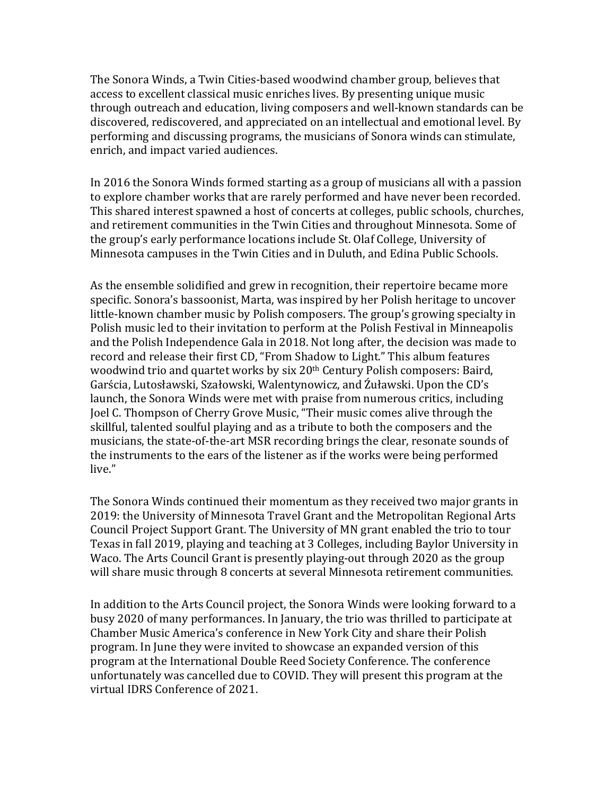The Sonora Winds, a Twin Cities-based woodwind chamber group, believes that access to excellent classical music enriches lives. By presenting unique music through outreach and education, living composers and well-known standards can be discovered, rediscovered, and appreciated on an intellectual and emotional level. By performing and discussing programs, the musicians of Sonora winds can stimulate, enrich, and impact varied audiences.

In 2016 the Sonora Winds formed starting as a group of musicians all with a passion to explore chamber works that are rarely performed and have never been recorded. This shared interest spawned a host of concerts at colleges, public schools, churches, and retirement communities in the Twin Cities and throughout Minnesota. Some of the group's early performance locations include St. Olaf College, University of Minnesota campuses in the Twin Cities and in Duluth, and Edina Public Schools.

As the ensemble solidified and grew in recognition, their repertoire became more specific. Sonora's bassoonist, Marta, was inspired by her Polish heritage to uncover little-known chamber music by Polish composers. The group's growing specialty in Polish music led to their invitation to perform at the Polish Festival in Minneapolis and the Polish Independence Gala in 2018. Not long after, the decision was made to record and release their first CD, "From Shadow to Light." This album features woodwind trio and quartet works by six 20<sup>th</sup> Century Polish composers: Baird, Garścia, Lutosławski, Szałowski, Walentynowicz, and Źuławski. Upon the CD's launch, the Sonora Winds were met with praise from numerous critics, including Joel C. Thompson of Cherry Grove Music, "Their music comes alive through the skillful, talented soulful playing and as a tribute to both the composers and the musicians, the state-of-the-art MSR recording brings the clear, resonate sounds of the instruments to the ears of the listener as if the works were being performed live."

The Sonora Winds continued their momentum as they received two major grants in 2019: the University of Minnesota Travel Grant and the Metropolitan Regional Arts Council Project Support Grant. The University of MN grant enabled the trio to tour Texas in fall 2019, playing and teaching at 3 Colleges, including Baylor University in Waco. The Arts Council Grant is presently playing-out through 2020 as the group will share music through 8 concerts at several Minnesota retirement communities.

In addition to the Arts Council project, the Sonora Winds were looking forward to a busy 2020 of many performances. In January, the trio was thrilled to participate at Chamber Music America's conference in New York City and share their Polish program. In June they were invited to showcase an expanded version of this program at the International Double Reed Society Conference. The conference unfortunately was cancelled due to COVID. They will present this program at the virtual IDRS Conference of 2021.